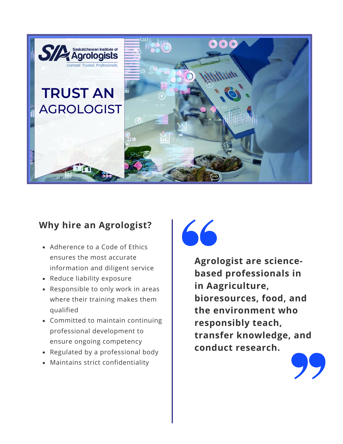

# **Why hire an Agrologist?**

- Adherence to a Code of Ethics ensures the most accurate information and diligent service
- Reduce liability exposure
- Responsible to only work in areas where their training makes them qualified
- Committed to maintain continuing professional development to ensure ongoing competency
- Regulated by a professional body
- Maintains strict confidentiality

66

**Agrologist are sciencebased professionals in in Aagriculture, bioresources, food, and the environment who responsibly teach, transfer knowledge, and conduct research.**